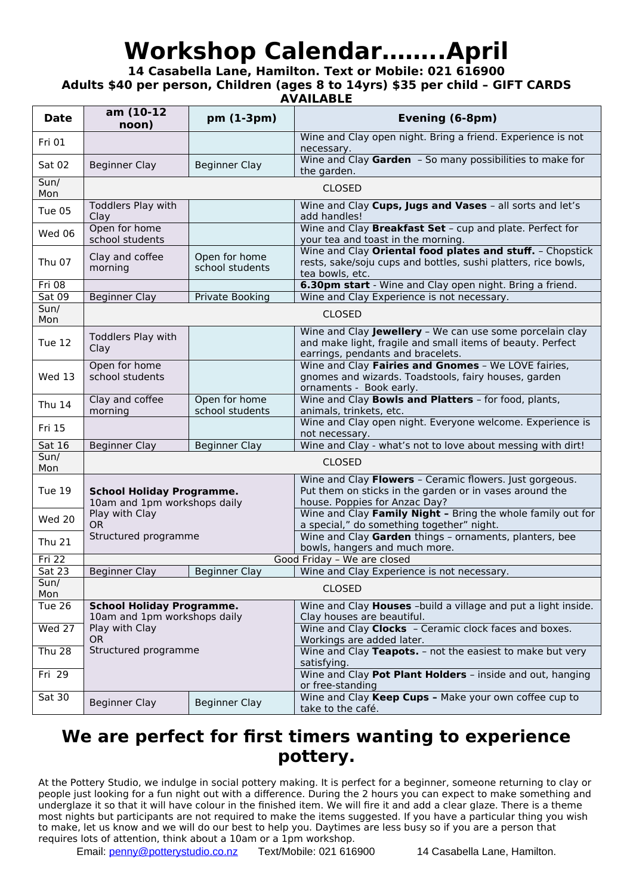## **Workshop Calendar……..April**

**14 Casabella Lane, Hamilton. Text or Mobile: 021 616900 Adults \$40 per person, Children (ages 8 to 14yrs) \$35 per child – GIFT CARDS**

**AVAILABLE**

| <b>Date</b>   | am (10-12<br>noon)                                                                              | pm (1-3pm)                       | Evening (6-8pm)                                                                                                                                             |
|---------------|-------------------------------------------------------------------------------------------------|----------------------------------|-------------------------------------------------------------------------------------------------------------------------------------------------------------|
| Fri 01        |                                                                                                 |                                  | Wine and Clay open night. Bring a friend. Experience is not<br>necessary.                                                                                   |
| Sat 02        | <b>Beginner Clay</b>                                                                            | <b>Beginner Clay</b>             | Wine and Clay Garden - So many possibilities to make for<br>the garden.                                                                                     |
| Sun/<br>Mon   | <b>CLOSED</b>                                                                                   |                                  |                                                                                                                                                             |
| Tue 05        | Toddlers Play with<br>Clay                                                                      |                                  | Wine and Clay Cups, Jugs and Vases - all sorts and let's<br>add handles!                                                                                    |
| Wed 06        | Open for home<br>school students                                                                |                                  | Wine and Clay Breakfast Set - cup and plate. Perfect for<br>your tea and toast in the morning.                                                              |
| Thu 07        | Clay and coffee<br>morning                                                                      | Open for home<br>school students | Wine and Clay Oriental food plates and stuff. - Chopstick<br>rests, sake/soju cups and bottles, sushi platters, rice bowls,<br>tea bowls, etc.              |
| Fri 08        |                                                                                                 |                                  | 6.30pm start - Wine and Clay open night. Bring a friend.                                                                                                    |
| Sat 09        | <b>Beginner Clay</b>                                                                            | Private Booking                  | Wine and Clay Experience is not necessary.                                                                                                                  |
| Sun/<br>Mon   | <b>CLOSED</b>                                                                                   |                                  |                                                                                                                                                             |
| Tue 12        | Toddlers Play with<br>Clay                                                                      |                                  | Wine and Clay Jewellery - We can use some porcelain clay<br>and make light, fragile and small items of beauty. Perfect<br>earrings, pendants and bracelets. |
| Wed 13        | Open for home<br>school students                                                                |                                  | Wine and Clay Fairies and Gnomes - We LOVE fairies,<br>gnomes and wizards. Toadstools, fairy houses, garden<br>ornaments - Book early.                      |
| <b>Thu 14</b> | Clay and coffee<br>morning                                                                      | Open for home<br>school students | Wine and Clay Bowls and Platters - for food, plants,<br>animals, trinkets, etc.                                                                             |
| Fri 15        |                                                                                                 |                                  | Wine and Clay open night. Everyone welcome. Experience is<br>not necessary.                                                                                 |
| Sat 16        | <b>Beginner Clay</b>                                                                            | <b>Beginner Clay</b>             | Wine and Clay - what's not to love about messing with dirt!                                                                                                 |
| Sun/<br>Mon   | <b>CLOSED</b>                                                                                   |                                  |                                                                                                                                                             |
| Tue 19        | <b>School Holiday Programme.</b><br>10am and 1pm workshops daily<br>Play with Clay<br><b>OR</b> |                                  | Wine and Clay Flowers - Ceramic flowers. Just gorgeous.<br>Put them on sticks in the garden or in vases around the<br>house. Poppies for Anzac Day?         |
| Wed 20        |                                                                                                 |                                  | Wine and Clay Family Night - Bring the whole family out for<br>a special," do something together" night.                                                    |
| <b>Thu 21</b> | Structured programme                                                                            |                                  | Wine and Clay Garden things - ornaments, planters, bee<br>bowls, hangers and much more.                                                                     |
| Fri 22        | Good Friday - We are closed                                                                     |                                  |                                                                                                                                                             |
| <b>Sat 23</b> | <b>Beginner Clay</b>                                                                            | <b>Beginner Clay</b>             | Wine and Clay Experience is not necessary.                                                                                                                  |
| Sun/<br>Mon   | <b>CLOSED</b>                                                                                   |                                  |                                                                                                                                                             |
| Tue 26        | <b>School Holiday Programme.</b>                                                                |                                  | Wine and Clay <b>Houses</b> -build a village and put a light inside.                                                                                        |
| $Wed$ 27      | 10am and 1pm workshops daily<br>Play with Clay                                                  |                                  | Clay houses are beautiful.<br>Wine and Clay Clocks - Ceramic clock faces and boxes.                                                                         |
| <b>Thu 28</b> | <b>OR</b><br>Structured programme                                                               |                                  | Workings are added later.<br>Wine and Clay Teapots. - not the easiest to make but very                                                                      |
| Fri 29        |                                                                                                 |                                  | satisfying.<br>Wine and Clay Pot Plant Holders - inside and out, hanging                                                                                    |
|               |                                                                                                 |                                  | or free-standing                                                                                                                                            |
| <b>Sat 30</b> | <b>Beginner Clay</b>                                                                            | <b>Beginner Clay</b>             | Wine and Clay Keep Cups - Make your own coffee cup to<br>take to the café.                                                                                  |

## **We are perfect for first timers wanting to experience pottery.**

At the Pottery Studio, we indulge in social pottery making. It is perfect for a beginner, someone returning to clay or people just looking for a fun night out with a difference. During the 2 hours you can expect to make something and underglaze it so that it will have colour in the finished item. We will fire it and add a clear glaze. There is a theme most nights but participants are not required to make the items suggested. If you have a particular thing you wish to make, let us know and we will do our best to help you. Daytimes are less busy so if you are a person that requires lots of attention, think about a 10am or a 1pm workshop.

Email: [penny@potterystudio.co.nz](mailto:penny@potterystudio.co.nz) Text/Mobile: 021 616900 14 Casabella Lane, Hamilton.